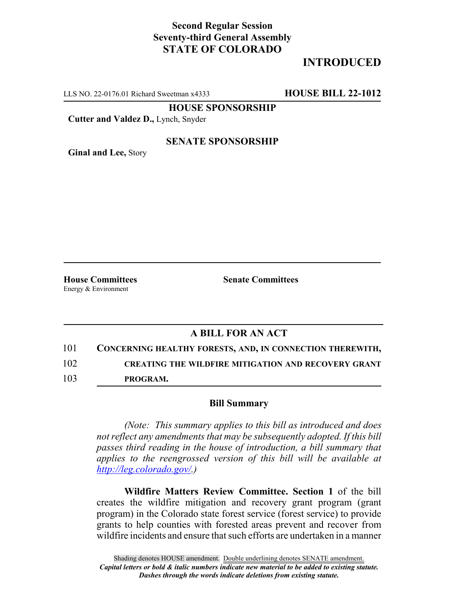## **Second Regular Session Seventy-third General Assembly STATE OF COLORADO**

# **INTRODUCED**

LLS NO. 22-0176.01 Richard Sweetman x4333 **HOUSE BILL 22-1012**

**HOUSE SPONSORSHIP**

**Cutter and Valdez D.,** Lynch, Snyder

#### **SENATE SPONSORSHIP**

**Ginal and Lee,** Story

Energy & Environment

**House Committees Senate Committees**

### **A BILL FOR AN ACT**

101 **CONCERNING HEALTHY FORESTS, AND, IN CONNECTION THEREWITH,** 102 **CREATING THE WILDFIRE MITIGATION AND RECOVERY GRANT**

103 **PROGRAM.**

#### **Bill Summary**

*(Note: This summary applies to this bill as introduced and does not reflect any amendments that may be subsequently adopted. If this bill passes third reading in the house of introduction, a bill summary that applies to the reengrossed version of this bill will be available at http://leg.colorado.gov/.)*

**Wildfire Matters Review Committee. Section 1** of the bill creates the wildfire mitigation and recovery grant program (grant program) in the Colorado state forest service (forest service) to provide grants to help counties with forested areas prevent and recover from wildfire incidents and ensure that such efforts are undertaken in a manner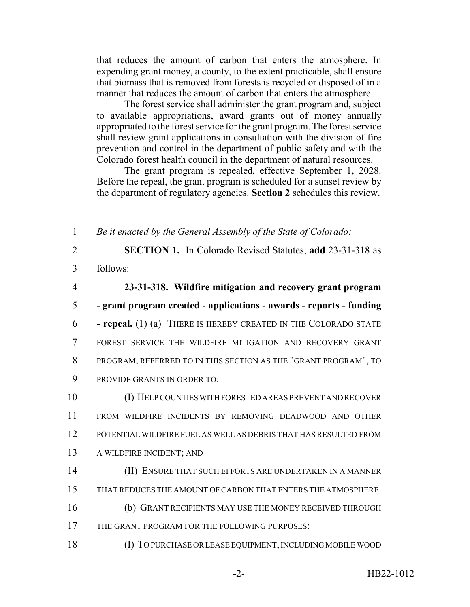that reduces the amount of carbon that enters the atmosphere. In expending grant money, a county, to the extent practicable, shall ensure that biomass that is removed from forests is recycled or disposed of in a manner that reduces the amount of carbon that enters the atmosphere.

The forest service shall administer the grant program and, subject to available appropriations, award grants out of money annually appropriated to the forest service for the grant program. The forest service shall review grant applications in consultation with the division of fire prevention and control in the department of public safety and with the Colorado forest health council in the department of natural resources.

The grant program is repealed, effective September 1, 2028. Before the repeal, the grant program is scheduled for a sunset review by the department of regulatory agencies. **Section 2** schedules this review.

1 *Be it enacted by the General Assembly of the State of Colorado:*

2 **SECTION 1.** In Colorado Revised Statutes, **add** 23-31-318 as 3 follows:

 **23-31-318. Wildfire mitigation and recovery grant program - grant program created - applications - awards - reports - funding - repeal.** (1) (a) THERE IS HEREBY CREATED IN THE COLORADO STATE FOREST SERVICE THE WILDFIRE MITIGATION AND RECOVERY GRANT PROGRAM, REFERRED TO IN THIS SECTION AS THE "GRANT PROGRAM", TO PROVIDE GRANTS IN ORDER TO:

 (I) HELP COUNTIES WITH FORESTED AREAS PREVENT AND RECOVER FROM WILDFIRE INCIDENTS BY REMOVING DEADWOOD AND OTHER POTENTIAL WILDFIRE FUEL AS WELL AS DEBRIS THAT HAS RESULTED FROM A WILDFIRE INCIDENT; AND

- 14 (II) ENSURE THAT SUCH EFFORTS ARE UNDERTAKEN IN A MANNER
- 15 THAT REDUCES THE AMOUNT OF CARBON THAT ENTERS THE ATMOSPHERE.
- 16 (b) GRANT RECIPIENTS MAY USE THE MONEY RECEIVED THROUGH
- 17 THE GRANT PROGRAM FOR THE FOLLOWING PURPOSES:
- 18 (I) TO PURCHASE OR LEASE EQUIPMENT, INCLUDING MOBILE WOOD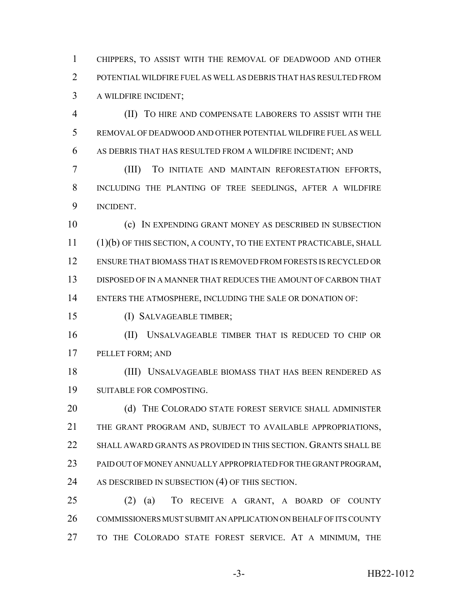CHIPPERS, TO ASSIST WITH THE REMOVAL OF DEADWOOD AND OTHER POTENTIAL WILDFIRE FUEL AS WELL AS DEBRIS THAT HAS RESULTED FROM A WILDFIRE INCIDENT;

 (II) TO HIRE AND COMPENSATE LABORERS TO ASSIST WITH THE REMOVAL OF DEADWOOD AND OTHER POTENTIAL WILDFIRE FUEL AS WELL AS DEBRIS THAT HAS RESULTED FROM A WILDFIRE INCIDENT; AND

 (III) TO INITIATE AND MAINTAIN REFORESTATION EFFORTS, INCLUDING THE PLANTING OF TREE SEEDLINGS, AFTER A WILDFIRE INCIDENT.

 (c) IN EXPENDING GRANT MONEY AS DESCRIBED IN SUBSECTION (1)(b) OF THIS SECTION, A COUNTY, TO THE EXTENT PRACTICABLE, SHALL ENSURE THAT BIOMASS THAT IS REMOVED FROM FORESTS IS RECYCLED OR DISPOSED OF IN A MANNER THAT REDUCES THE AMOUNT OF CARBON THAT ENTERS THE ATMOSPHERE, INCLUDING THE SALE OR DONATION OF:

(I) SALVAGEABLE TIMBER;

 (II) UNSALVAGEABLE TIMBER THAT IS REDUCED TO CHIP OR PELLET FORM; AND

 (III) UNSALVAGEABLE BIOMASS THAT HAS BEEN RENDERED AS SUITABLE FOR COMPOSTING.

20 (d) THE COLORADO STATE FOREST SERVICE SHALL ADMINISTER THE GRANT PROGRAM AND, SUBJECT TO AVAILABLE APPROPRIATIONS, SHALL AWARD GRANTS AS PROVIDED IN THIS SECTION. GRANTS SHALL BE PAID OUT OF MONEY ANNUALLY APPROPRIATED FOR THE GRANT PROGRAM, 24 AS DESCRIBED IN SUBSECTION (4) OF THIS SECTION.

 (2) (a) TO RECEIVE A GRANT, A BOARD OF COUNTY COMMISSIONERS MUST SUBMIT AN APPLICATION ON BEHALF OF ITS COUNTY TO THE COLORADO STATE FOREST SERVICE. AT A MINIMUM, THE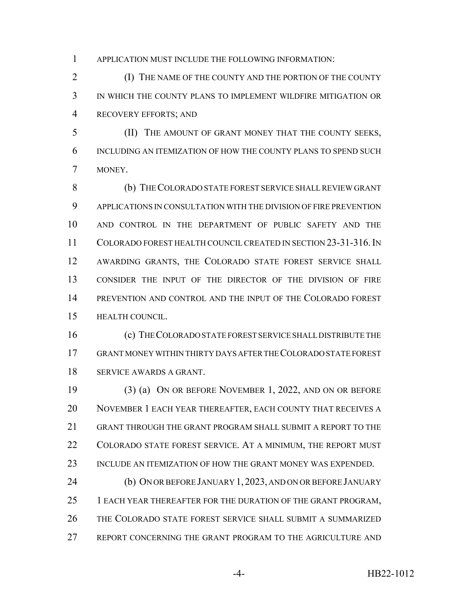APPLICATION MUST INCLUDE THE FOLLOWING INFORMATION:

 (I) THE NAME OF THE COUNTY AND THE PORTION OF THE COUNTY IN WHICH THE COUNTY PLANS TO IMPLEMENT WILDFIRE MITIGATION OR RECOVERY EFFORTS; AND

 (II) THE AMOUNT OF GRANT MONEY THAT THE COUNTY SEEKS, INCLUDING AN ITEMIZATION OF HOW THE COUNTY PLANS TO SPEND SUCH MONEY.

 (b) THE COLORADO STATE FOREST SERVICE SHALL REVIEW GRANT APPLICATIONS IN CONSULTATION WITH THE DIVISION OF FIRE PREVENTION AND CONTROL IN THE DEPARTMENT OF PUBLIC SAFETY AND THE COLORADO FOREST HEALTH COUNCIL CREATED IN SECTION 23-31-316.IN AWARDING GRANTS, THE COLORADO STATE FOREST SERVICE SHALL CONSIDER THE INPUT OF THE DIRECTOR OF THE DIVISION OF FIRE PREVENTION AND CONTROL AND THE INPUT OF THE COLORADO FOREST HEALTH COUNCIL.

 (c) THE COLORADO STATE FOREST SERVICE SHALL DISTRIBUTE THE GRANT MONEY WITHIN THIRTY DAYS AFTER THE COLORADO STATE FOREST SERVICE AWARDS A GRANT.

 (3) (a) ON OR BEFORE NOVEMBER 1, 2022, AND ON OR BEFORE NOVEMBER 1 EACH YEAR THEREAFTER, EACH COUNTY THAT RECEIVES A GRANT THROUGH THE GRANT PROGRAM SHALL SUBMIT A REPORT TO THE COLORADO STATE FOREST SERVICE. AT A MINIMUM, THE REPORT MUST INCLUDE AN ITEMIZATION OF HOW THE GRANT MONEY WAS EXPENDED.

 (b) ON OR BEFORE JANUARY 1, 2023, AND ON OR BEFORE JANUARY 1 EACH YEAR THEREAFTER FOR THE DURATION OF THE GRANT PROGRAM, THE COLORADO STATE FOREST SERVICE SHALL SUBMIT A SUMMARIZED REPORT CONCERNING THE GRANT PROGRAM TO THE AGRICULTURE AND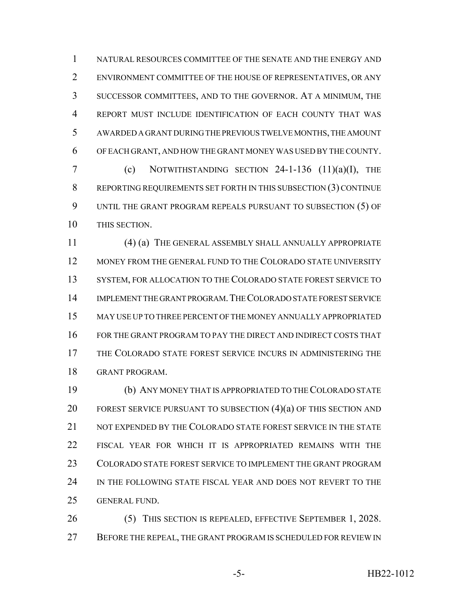NATURAL RESOURCES COMMITTEE OF THE SENATE AND THE ENERGY AND ENVIRONMENT COMMITTEE OF THE HOUSE OF REPRESENTATIVES, OR ANY SUCCESSOR COMMITTEES, AND TO THE GOVERNOR. AT A MINIMUM, THE REPORT MUST INCLUDE IDENTIFICATION OF EACH COUNTY THAT WAS AWARDED A GRANT DURING THE PREVIOUS TWELVE MONTHS, THE AMOUNT OF EACH GRANT, AND HOW THE GRANT MONEY WAS USED BY THE COUNTY. (c) NOTWITHSTANDING SECTION 24-1-136 (11)(a)(I), THE REPORTING REQUIREMENTS SET FORTH IN THIS SUBSECTION (3) CONTINUE UNTIL THE GRANT PROGRAM REPEALS PURSUANT TO SUBSECTION (5) OF THIS SECTION.

 (4) (a) THE GENERAL ASSEMBLY SHALL ANNUALLY APPROPRIATE MONEY FROM THE GENERAL FUND TO THE COLORADO STATE UNIVERSITY 13 SYSTEM, FOR ALLOCATION TO THE COLORADO STATE FOREST SERVICE TO IMPLEMENT THE GRANT PROGRAM.THE COLORADO STATE FOREST SERVICE MAY USE UP TO THREE PERCENT OF THE MONEY ANNUALLY APPROPRIATED FOR THE GRANT PROGRAM TO PAY THE DIRECT AND INDIRECT COSTS THAT THE COLORADO STATE FOREST SERVICE INCURS IN ADMINISTERING THE GRANT PROGRAM.

 (b) ANY MONEY THAT IS APPROPRIATED TO THE COLORADO STATE 20 FOREST SERVICE PURSUANT TO SUBSECTION  $(4)(a)$  OF THIS SECTION AND NOT EXPENDED BY THE COLORADO STATE FOREST SERVICE IN THE STATE FISCAL YEAR FOR WHICH IT IS APPROPRIATED REMAINS WITH THE COLORADO STATE FOREST SERVICE TO IMPLEMENT THE GRANT PROGRAM IN THE FOLLOWING STATE FISCAL YEAR AND DOES NOT REVERT TO THE GENERAL FUND.

 (5) THIS SECTION IS REPEALED, EFFECTIVE SEPTEMBER 1, 2028. 27 BEFORE THE REPEAL, THE GRANT PROGRAM IS SCHEDULED FOR REVIEW IN